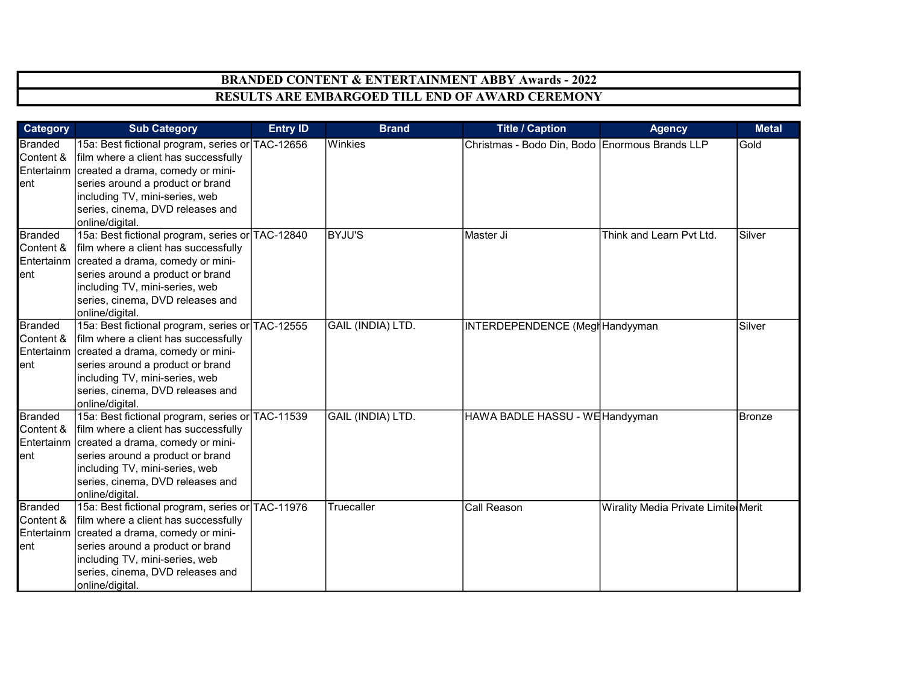| Category                                          | <b>Sub Category</b>                                                                                                                                                                                                                                                  | <b>Entry ID</b> | <b>Brand</b>      | <b>Title / Caption</b>                         | <b>Agency</b>                       | <b>Metal</b> |
|---------------------------------------------------|----------------------------------------------------------------------------------------------------------------------------------------------------------------------------------------------------------------------------------------------------------------------|-----------------|-------------------|------------------------------------------------|-------------------------------------|--------------|
| <b>Branded</b><br>Content &<br>ent                | 15a: Best fictional program, series or TAC-12656<br>film where a client has successfully<br>Entertainm created a drama, comedy or mini-<br>series around a product or brand<br>including TV, mini-series, web<br>series, cinema, DVD releases and<br>online/digital. |                 | Winkies           | Christmas - Bodo Din, Bodo Enormous Brands LLP |                                     | Gold         |
| <b>Branded</b><br>Content &<br>Entertainm<br>ent  | 15a: Best fictional program, series or TAC-12840<br>film where a client has successfully<br>created a drama, comedy or mini-<br>series around a product or brand<br>including TV, mini-series, web<br>series, cinema, DVD releases and<br>online/digital.            |                 | <b>BYJU'S</b>     | Master Ji                                      | Think and Learn Pvt Ltd.            | Silver       |
| <b>Branded</b><br>Content &<br>ent                | 15a: Best fictional program, series or TAC-12555<br>film where a client has successfully<br>Entertainm created a drama, comedy or mini-<br>series around a product or brand<br>including TV, mini-series, web<br>series, cinema, DVD releases and<br>online/digital. |                 | GAIL (INDIA) LTD. | INTERDEPENDENCE (MeglHandyyman                 |                                     | Silver       |
| <b>Branded</b><br>Content &<br>Entertainm<br>lent | 15a: Best fictional program, series or TAC-11539<br>film where a client has successfully<br>created a drama, comedy or mini-<br>series around a product or brand<br>including TV, mini-series, web<br>series, cinema, DVD releases and<br>online/digital.            |                 | GAIL (INDIA) LTD. | HAWA BADLE HASSU - W日Handyyman                 |                                     | Bronze       |
| <b>Branded</b><br>Content &<br>Entertainm<br>ent  | 15a: Best fictional program, series or TAC-11976<br>film where a client has successfully<br>created a drama, comedy or mini-<br>series around a product or brand<br>including TV, mini-series, web<br>series, cinema, DVD releases and<br>online/digital.            |                 | Truecaller        | Call Reason                                    | Wirality Media Private Limite Merit |              |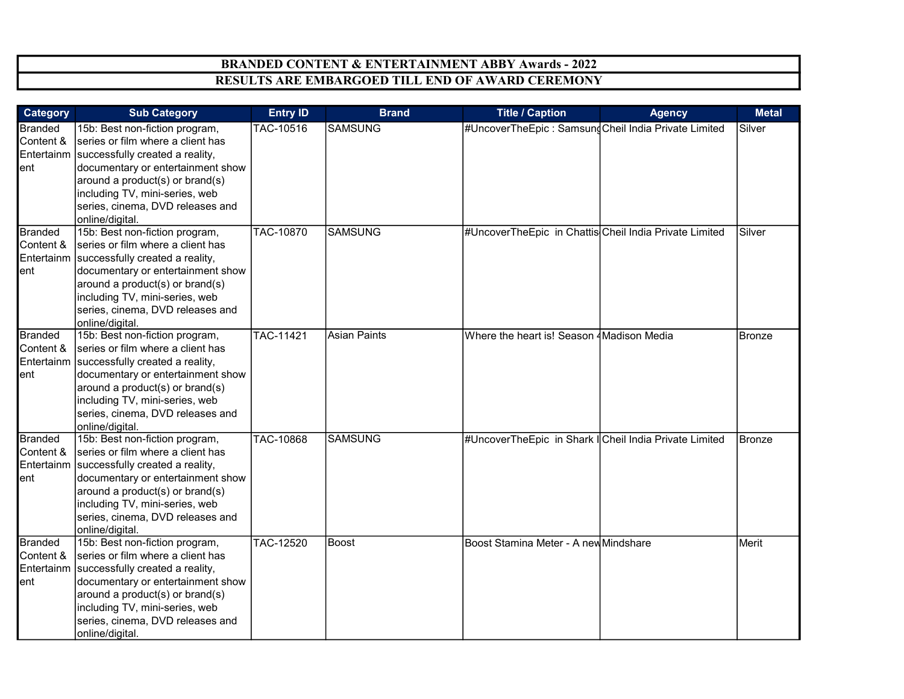| <b>Category</b>                                  | <b>Sub Category</b>                                                                                                                                                                                                                                                                | <b>Entry ID</b>  | <b>Brand</b>        | <b>Title / Caption</b>                                 | <b>Agency</b> | <b>Metal</b>  |
|--------------------------------------------------|------------------------------------------------------------------------------------------------------------------------------------------------------------------------------------------------------------------------------------------------------------------------------------|------------------|---------------------|--------------------------------------------------------|---------------|---------------|
| <b>Branded</b><br>Content &<br>ent               | 15b: Best non-fiction program,<br>series or film where a client has<br>Entertainm successfully created a reality,<br>documentary or entertainment show<br>around a product(s) or brand(s)<br>including TV, mini-series, web<br>series, cinema, DVD releases and<br>online/digital. | TAC-10516        | <b>SAMSUNG</b>      | #UncoverTheEpic: SamsungCheil India Private Limited    |               | Silver        |
| <b>Branded</b><br>Content &<br>Entertainm<br>ent | 15b: Best non-fiction program,<br>series or film where a client has<br>successfully created a reality,<br>documentary or entertainment show<br>around a product(s) or brand(s)<br>including TV, mini-series, web<br>series, cinema, DVD releases and<br>online/digital.            | TAC-10870        | <b>SAMSUNG</b>      | #UncoverTheEpic in Chattis Cheil India Private Limited |               | Silver        |
| <b>Branded</b><br>Content &<br>ent               | 15b: Best non-fiction program,<br>series or film where a client has<br>Entertainm successfully created a reality,<br>documentary or entertainment show<br>around a product(s) or brand(s)<br>including TV, mini-series, web<br>series, cinema, DVD releases and<br>online/digital. | TAC-11421        | <b>Asian Paints</b> | Where the heart is! Season 4 Madison Media             |               | <b>Bronze</b> |
| <b>Branded</b><br>Content &<br>Entertainm<br>ent | 15b: Best non-fiction program,<br>series or film where a client has<br>successfully created a reality,<br>documentary or entertainment show<br>around a product(s) or brand(s)<br>including TV, mini-series, web<br>series, cinema, DVD releases and<br>online/digital.            | <b>TAC-10868</b> | <b>SAMSUNG</b>      | #UncoverTheEpic in Shark   Cheil India Private Limited |               | Bronze        |
| <b>Branded</b><br>Content &<br>ent               | 15b: Best non-fiction program,<br>series or film where a client has<br>Entertainm successfully created a reality,<br>documentary or entertainment show<br>around a product(s) or brand(s)<br>including TV, mini-series, web<br>series, cinema, DVD releases and<br>online/digital. | TAC-12520        | Boost               | Boost Stamina Meter - A new Mindshare                  |               | Merit         |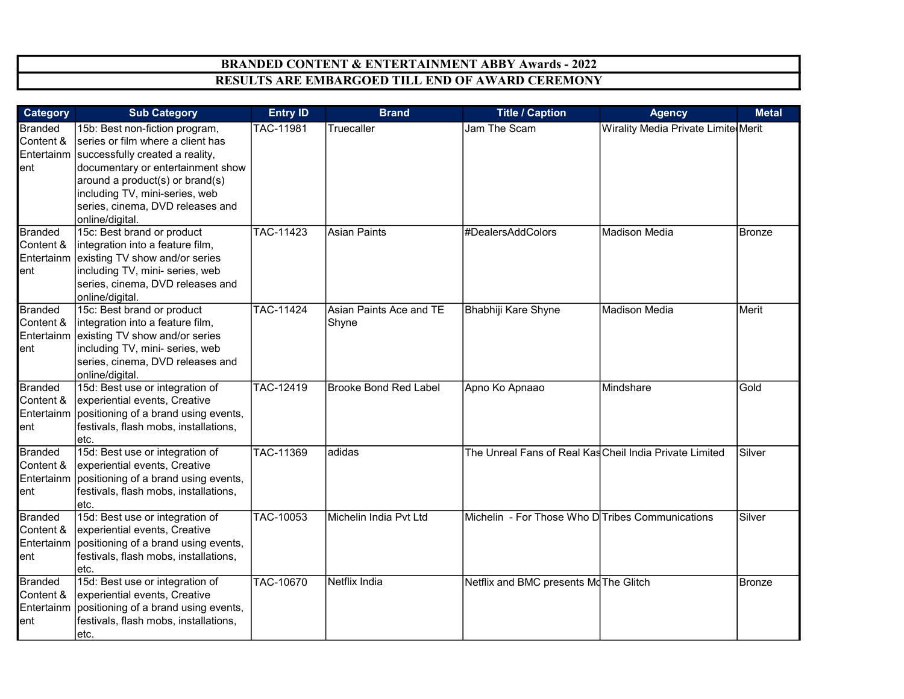| <b>Category</b>                                  | <b>Sub Category</b>                                                                                                                                                                                                                                                                | <b>Entry ID</b>  | <b>Brand</b>                     | <b>Title / Caption</b>                                         | <b>Agency</b>                       | <b>Metal</b>  |
|--------------------------------------------------|------------------------------------------------------------------------------------------------------------------------------------------------------------------------------------------------------------------------------------------------------------------------------------|------------------|----------------------------------|----------------------------------------------------------------|-------------------------------------|---------------|
| <b>Branded</b><br>Content &<br>ent               | 15b: Best non-fiction program,<br>series or film where a client has<br>Entertainm successfully created a reality,<br>documentary or entertainment show<br>around a product(s) or brand(s)<br>including TV, mini-series, web<br>series, cinema, DVD releases and<br>online/digital. | TAC-11981        | Truecaller                       | Jam The Scam                                                   | Wirality Media Private Limite Merit |               |
| <b>Branded</b><br>Content &<br>Entertainm<br>ent | 15c: Best brand or product<br>integration into a feature film,<br>existing TV show and/or series<br>including TV, mini- series, web<br>series, cinema, DVD releases and<br>online/digital.                                                                                         | <b>TAC-11423</b> | Asian Paints                     | #DealersAddColors                                              | Madison Media                       | <b>Bronze</b> |
| <b>Branded</b><br>Content &<br>Entertainm<br>ent | 15c: Best brand or product<br>integration into a feature film,<br>existing TV show and/or series<br>including TV, mini- series, web<br>series, cinema, DVD releases and<br>online/digital.                                                                                         | <b>TAC-11424</b> | Asian Paints Ace and TE<br>Shyne | Bhabhiji Kare Shyne                                            | Madison Media                       | Merit         |
| <b>Branded</b><br>Content &<br>Entertainm<br>ent | 15d: Best use or integration of<br>experiential events, Creative<br>positioning of a brand using events,<br>festivals, flash mobs, installations,<br>etc.                                                                                                                          | TAC-12419        | <b>Brooke Bond Red Label</b>     | Apno Ko Apnaao                                                 | Mindshare                           | Gold          |
| <b>Branded</b><br>Content &<br>Entertainm<br>ent | 15d: Best use or integration of<br>experiential events, Creative<br>positioning of a brand using events,<br>festivals, flash mobs, installations,<br>etc.                                                                                                                          | TAC-11369        | adidas                           | The Unreal Fans of Real Kas Cheil India Private Limited        |                                     | Silver        |
| Branded<br>Content &<br>Entertainm<br>ent        | 15d: Best use or integration of<br>experiential events, Creative<br>positioning of a brand using events,<br>festivals, flash mobs, installations,<br>etc.                                                                                                                          | TAC-10053        | Michelin India Pvt Ltd           | Michelin  - For Those Who D <sup>I</sup> Tribes Communications |                                     | Silver        |
| <b>Branded</b><br>Content &<br>Entertainm<br>ent | 15d: Best use or integration of<br>experiential events, Creative<br>positioning of a brand using events,<br>festivals, flash mobs, installations,<br>etc.                                                                                                                          | TAC-10670        | Netflix India                    | Netflix and BMC presents Md The Glitch                         |                                     | <b>Bronze</b> |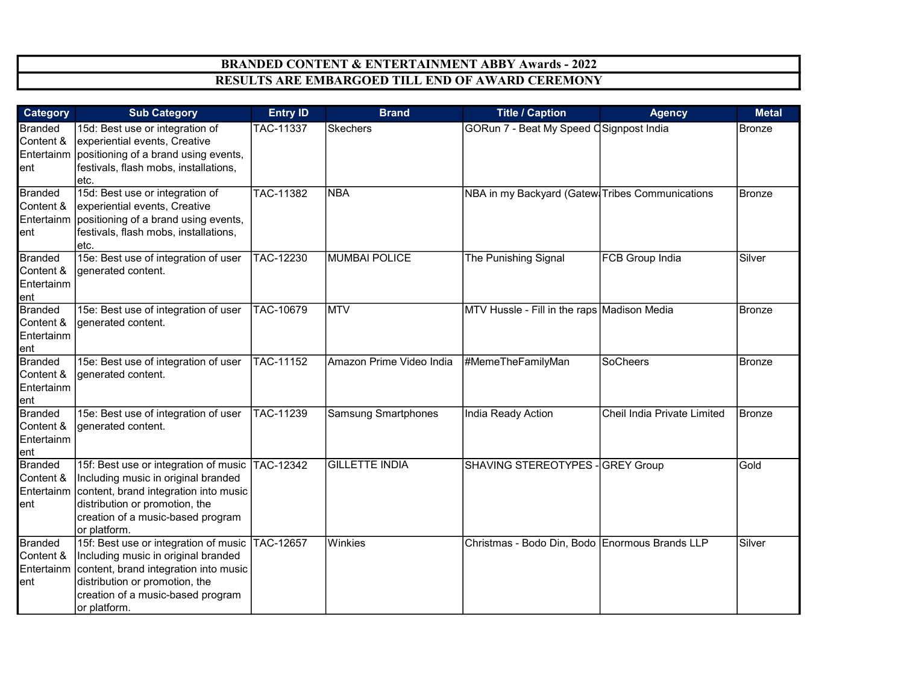| <b>Category</b>                                  | <b>Sub Category</b>                                                                                                                                                                                                               | <b>Entry ID</b>  | <b>Brand</b>               | <b>Title / Caption</b>                          | <b>Agency</b>               | <b>Metal</b>  |
|--------------------------------------------------|-----------------------------------------------------------------------------------------------------------------------------------------------------------------------------------------------------------------------------------|------------------|----------------------------|-------------------------------------------------|-----------------------------|---------------|
| <b>Branded</b><br>Content &<br>ent               | 15d: Best use or integration of<br>experiential events, Creative<br>Entertainm positioning of a brand using events,<br>festivals, flash mobs, installations,<br>etc.                                                              | <b>TAC-11337</b> | <b>Skechers</b>            | GORun 7 - Beat My Speed OSignpost India         |                             | <b>Bronze</b> |
| <b>Branded</b><br>Content &<br>lent              | 15d: Best use or integration of<br>experiential events, Creative<br>Entertainm positioning of a brand using events,<br>festivals, flash mobs, installations,<br>etc.                                                              | TAC-11382        | <b>NBA</b>                 | NBA in my Backyard (Gatew Tribes Communications |                             | Bronze        |
| <b>Branded</b><br>Content &<br>Entertainm<br>ent | 15e: Best use of integration of user<br>generated content.                                                                                                                                                                        | TAC-12230        | <b>MUMBAI POLICE</b>       | The Punishing Signal                            | <b>FCB Group India</b>      | Silver        |
| <b>Branded</b><br>Content &<br>Entertainm<br>ent | 15e: Best use of integration of user<br>generated content.                                                                                                                                                                        | TAC-10679        | <b>MTV</b>                 | MTV Hussle - Fill in the raps Madison Media     |                             | <b>Bronze</b> |
| <b>Branded</b><br>Content &<br>Entertainm<br>ent | 15e: Best use of integration of user<br>generated content.                                                                                                                                                                        | TAC-11152        | Amazon Prime Video India   | #MemeTheFamilyMan                               | SoCheers                    | <b>Bronze</b> |
| <b>Branded</b><br>Content &<br>Entertainm<br>ent | 15e: Best use of integration of user<br>generated content.                                                                                                                                                                        | TAC-11239        | <b>Samsung Smartphones</b> | India Ready Action                              | Cheil India Private Limited | Bronze        |
| <b>Branded</b><br>Content &<br>lent              | 15f: Best use or integration of music TAC-12342<br>Including music in original branded<br>Entertainm content, brand integration into music<br>distribution or promotion, the<br>creation of a music-based program<br>or platform. |                  | <b>GILLETTE INDIA</b>      | SHAVING STEREOTYPES - GREY Group                |                             | Gold          |
| <b>Branded</b><br>Content &<br>Entertainm<br>ent | 15f: Best use or integration of music TAC-12657<br>Including music in original branded<br>content, brand integration into music<br>distribution or promotion, the<br>creation of a music-based program<br>or platform.            |                  | Winkies                    | Christmas - Bodo Din, Bodo Enormous Brands LLP  |                             | Silver        |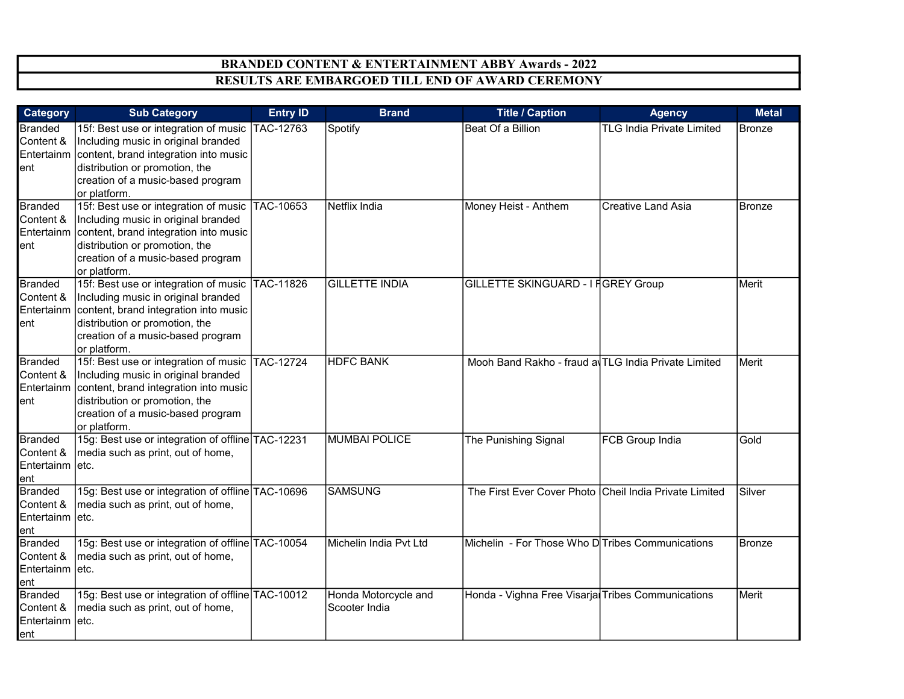| <b>Category</b>                                        | <b>Sub Category</b>                                                                                                                                                                                                                 | <b>Entry ID</b> | <b>Brand</b>                          | <b>Title / Caption</b>                                 | <b>Agency</b>                    | <b>Metal</b>  |
|--------------------------------------------------------|-------------------------------------------------------------------------------------------------------------------------------------------------------------------------------------------------------------------------------------|-----------------|---------------------------------------|--------------------------------------------------------|----------------------------------|---------------|
| <b>Branded</b><br>Content &<br>ent                     | 15f: Best use or integration of music<br>Including music in original branded<br>Entertainm content, brand integration into music<br>distribution or promotion, the<br>creation of a music-based program<br>or platform.             | TAC-12763       | Spotify                               | Beat Of a Billion                                      | <b>TLG India Private Limited</b> | <b>Bronze</b> |
| <b>Branded</b><br>Content &<br>ent                     | 15f: Best use or integration of music<br>Including music in original branded<br>Entertainm content, brand integration into music<br>distribution or promotion, the<br>creation of a music-based program<br>or platform.             | TAC-10653       | Netflix India                         | Money Heist - Anthem                                   | <b>Creative Land Asia</b>        | <b>Bronze</b> |
| <b>Branded</b><br>Content &<br>entl                    | 15f: Best use or integration of music   TAC-11826<br>Including music in original branded<br>Entertainm content, brand integration into music<br>distribution or promotion, the<br>creation of a music-based program<br>or platform. |                 | <b>GILLETTE INDIA</b>                 | GILLETTE SKINGUARD - I FGREY Group                     |                                  | Merit         |
| <b>Branded</b><br>Content &<br>ent                     | 15f: Best use or integration of music TAC-12724<br>Including music in original branded<br>Entertainm content, brand integration into music<br>distribution or promotion, the<br>creation of a music-based program<br>or platform.   |                 | <b>HDFC BANK</b>                      | Mooh Band Rakho - fraud a TLG India Private Limited    |                                  | Merit         |
| <b>Branded</b><br>Content &<br>Entertainm etc.<br>ent  | 15g: Best use or integration of offline TAC-12231<br>media such as print, out of home,                                                                                                                                              |                 | <b>MUMBAI POLICE</b>                  | The Punishing Signal                                   | <b>FCB Group India</b>           | Gold          |
| <b>Branded</b><br>Content &<br>Entertainm letc.<br>ent | 15g: Best use or integration of offline TAC-10696<br>media such as print, out of home,                                                                                                                                              |                 | <b>SAMSUNG</b>                        | The First Ever Cover Photo Cheil India Private Limited |                                  | Silver        |
| <b>Branded</b><br>Content &<br>Entertainm letc.<br>ent | 15g: Best use or integration of offline TAC-10054<br>media such as print, out of home,                                                                                                                                              |                 | Michelin India Pvt Ltd                | Michelin - For Those Who D Tribes Communications       |                                  | <b>Bronze</b> |
| <b>Branded</b><br>Content &<br>Entertainm letc.<br>ent | 15g: Best use or integration of offline TAC-10012<br>media such as print, out of home,                                                                                                                                              |                 | Honda Motorcycle and<br>Scooter India | Honda - Vighna Free Visarja Tribes Communications      |                                  | Merit         |